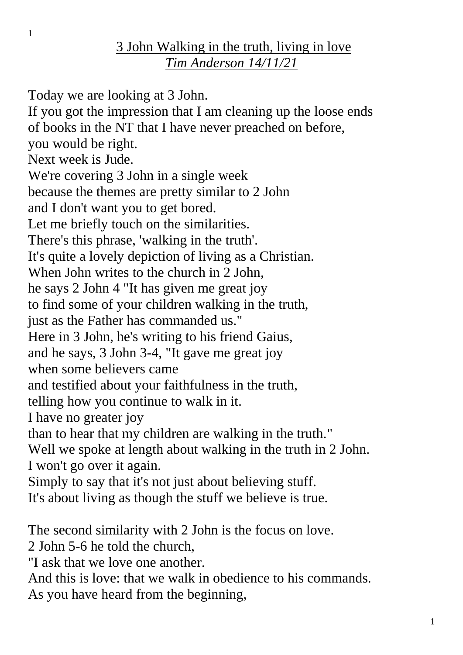## 3 John Walking in the truth, living in love *Tim Anderson 14/11/21*

Today we are looking at 3 John. If you got the impression that I am cleaning up the loose ends of books in the NT that I have never preached on before, you would be right. Next week is Jude. We're covering 3 John in a single week because the themes are pretty similar to 2 John and I don't want you to get bored. Let me briefly touch on the similarities. There's this phrase, 'walking in the truth'. It's quite a lovely depiction of living as a Christian. When John writes to the church in 2 John. he says 2 John 4 "It has given me great joy to find some of your children walking in the truth, just as the Father has commanded us." Here in 3 John, he's writing to his friend Gaius, and he says, 3 John 3-4, "It gave me great joy when some believers came and testified about your faithfulness in the truth, telling how you continue to walk in it. I have no greater joy than to hear that my children are walking in the truth." Well we spoke at length about walking in the truth in 2 John. I won't go over it again. Simply to say that it's not just about believing stuff. It's about living as though the stuff we believe is true. The second similarity with 2 John is the focus on love. 2 John 5-6 he told the church, "I ask that we love one another.

And this is love: that we walk in obedience to his commands.

As you have heard from the beginning,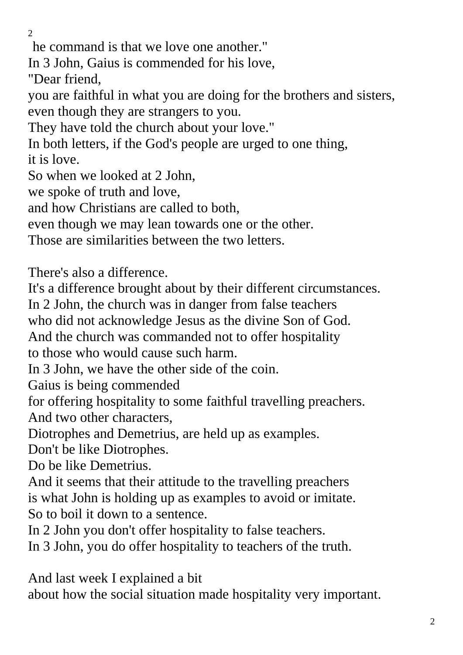$\mathcal{L}$ 

he command is that we love one another."

In 3 John, Gaius is commended for his love,

"Dear friend,

you are faithful in what you are doing for the brothers and sisters, even though they are strangers to you.

They have told the church about your love."

In both letters, if the God's people are urged to one thing, it is love.

So when we looked at 2 John,

we spoke of truth and love,

and how Christians are called to both,

even though we may lean towards one or the other.

Those are similarities between the two letters.

There's also a difference.

It's a difference brought about by their different circumstances.

In 2 John, the church was in danger from false teachers

who did not acknowledge Jesus as the divine Son of God.

And the church was commanded not to offer hospitality

to those who would cause such harm.

In 3 John, we have the other side of the coin.

Gaius is being commended

for offering hospitality to some faithful travelling preachers. And two other characters,

Diotrophes and Demetrius, are held up as examples.

Don't be like Diotrophes.

Do be like Demetrius.

And it seems that their attitude to the travelling preachers is what John is holding up as examples to avoid or imitate. So to boil it down to a sentence.

In 2 John you don't offer hospitality to false teachers.

In 3 John, you do offer hospitality to teachers of the truth.

And last week I explained a bit

about how the social situation made hospitality very important.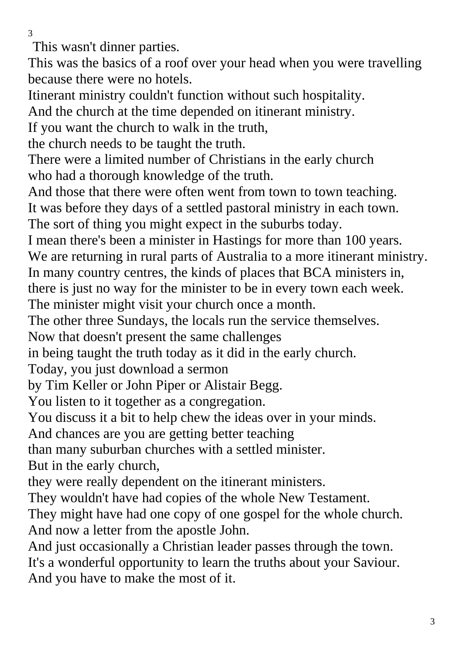This wasn't dinner parties.

This was the basics of a roof over your head when you were travelling because there were no hotels.

Itinerant ministry couldn't function without such hospitality.

And the church at the time depended on itinerant ministry.

If you want the church to walk in the truth,

the church needs to be taught the truth.

There were a limited number of Christians in the early church who had a thorough knowledge of the truth.

And those that there were often went from town to town teaching.

It was before they days of a settled pastoral ministry in each town.

The sort of thing you might expect in the suburbs today.

I mean there's been a minister in Hastings for more than 100 years. We are returning in rural parts of Australia to a more itinerant ministry.

In many country centres, the kinds of places that BCA ministers in,

there is just no way for the minister to be in every town each week.

The minister might visit your church once a month.

The other three Sundays, the locals run the service themselves.

Now that doesn't present the same challenges

in being taught the truth today as it did in the early church.

Today, you just download a sermon

by Tim Keller or John Piper or Alistair Begg.

You listen to it together as a congregation.

You discuss it a bit to help chew the ideas over in your minds.

And chances are you are getting better teaching

than many suburban churches with a settled minister.

But in the early church,

they were really dependent on the itinerant ministers.

They wouldn't have had copies of the whole New Testament.

They might have had one copy of one gospel for the whole church. And now a letter from the apostle John.

And just occasionally a Christian leader passes through the town. It's a wonderful opportunity to learn the truths about your Saviour. And you have to make the most of it.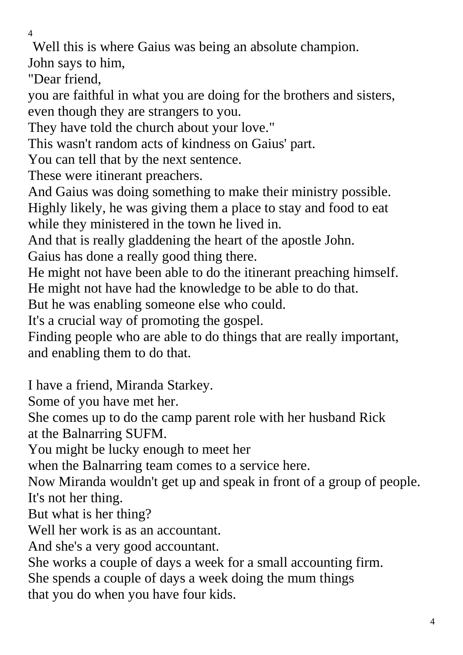Well this is where Gaius was being an absolute champion.

John says to him,

"Dear friend,

you are faithful in what you are doing for the brothers and sisters, even though they are strangers to you.

They have told the church about your love."

This wasn't random acts of kindness on Gaius' part.

You can tell that by the next sentence.

These were itinerant preachers.

And Gaius was doing something to make their ministry possible. Highly likely, he was giving them a place to stay and food to eat while they ministered in the town he lived in.

And that is really gladdening the heart of the apostle John.

Gaius has done a really good thing there.

He might not have been able to do the itinerant preaching himself. He might not have had the knowledge to be able to do that.

But he was enabling someone else who could.

It's a crucial way of promoting the gospel.

Finding people who are able to do things that are really important, and enabling them to do that.

I have a friend, Miranda Starkey.

Some of you have met her.

She comes up to do the camp parent role with her husband Rick

at the Balnarring SUFM.

You might be lucky enough to meet her

when the Balnarring team comes to a service here.

Now Miranda wouldn't get up and speak in front of a group of people. It's not her thing.

But what is her thing?

Well her work is as an accountant.

And she's a very good accountant.

She works a couple of days a week for a small accounting firm.

She spends a couple of days a week doing the mum things

that you do when you have four kids.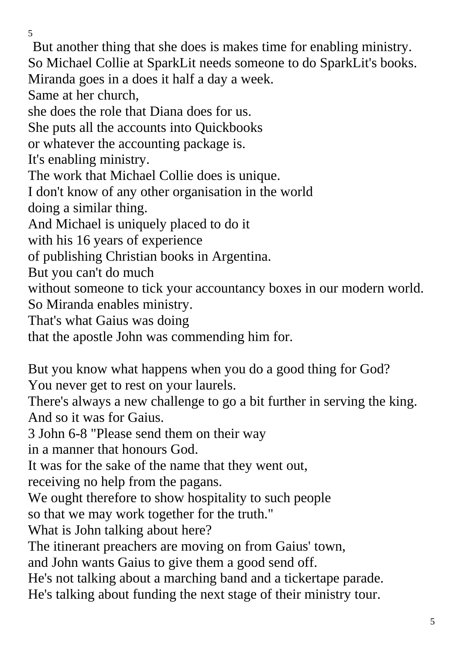But another thing that she does is makes time for enabling ministry. So Michael Collie at SparkLit needs someone to do SparkLit's books. Miranda goes in a does it half a day a week. Same at her church, she does the role that Diana does for us. She puts all the accounts into Quickbooks or whatever the accounting package is. It's enabling ministry. The work that Michael Collie does is unique. I don't know of any other organisation in the world doing a similar thing. And Michael is uniquely placed to do it with his 16 years of experience of publishing Christian books in Argentina. But you can't do much without someone to tick your accountancy boxes in our modern world. So Miranda enables ministry. That's what Gaius was doing that the apostle John was commending him for. But you know what happens when you do a good thing for God? You never get to rest on your laurels. There's always a new challenge to go a bit further in serving the king. And so it was for Gaius. 3 John 6-8 "Please send them on their way

in a manner that honours God.

It was for the sake of the name that they went out,

receiving no help from the pagans.

We ought therefore to show hospitality to such people

so that we may work together for the truth."

What is John talking about here?

The itinerant preachers are moving on from Gaius' town,

and John wants Gaius to give them a good send off.

He's not talking about a marching band and a tickertape parade.

He's talking about funding the next stage of their ministry tour.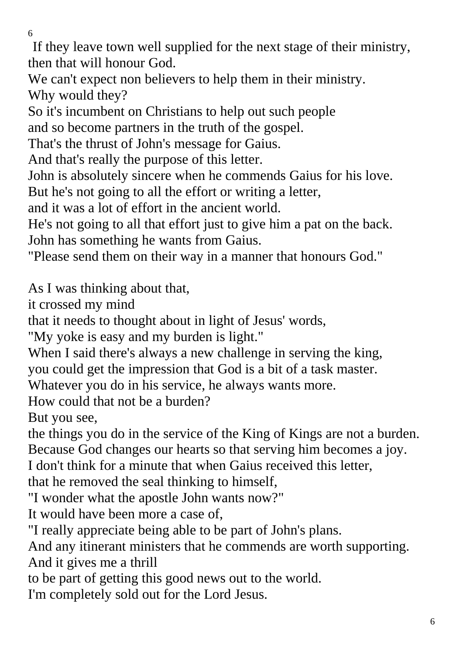If they leave town well supplied for the next stage of their ministry, then that will honour God.

We can't expect non believers to help them in their ministry. Why would they?

So it's incumbent on Christians to help out such people

and so become partners in the truth of the gospel.

That's the thrust of John's message for Gaius.

And that's really the purpose of this letter.

John is absolutely sincere when he commends Gaius for his love.

But he's not going to all the effort or writing a letter,

and it was a lot of effort in the ancient world.

He's not going to all that effort just to give him a pat on the back. John has something he wants from Gaius.

"Please send them on their way in a manner that honours God."

As I was thinking about that,

it crossed my mind

that it needs to thought about in light of Jesus' words,

"My yoke is easy and my burden is light."

When I said there's always a new challenge in serving the king,

you could get the impression that God is a bit of a task master.

Whatever you do in his service, he always wants more.

How could that not be a burden?

But you see,

the things you do in the service of the King of Kings are not a burden. Because God changes our hearts so that serving him becomes a joy.

I don't think for a minute that when Gaius received this letter,

that he removed the seal thinking to himself,

"I wonder what the apostle John wants now?"

It would have been more a case of,

"I really appreciate being able to be part of John's plans.

And any itinerant ministers that he commends are worth supporting. And it gives me a thrill

to be part of getting this good news out to the world.

I'm completely sold out for the Lord Jesus.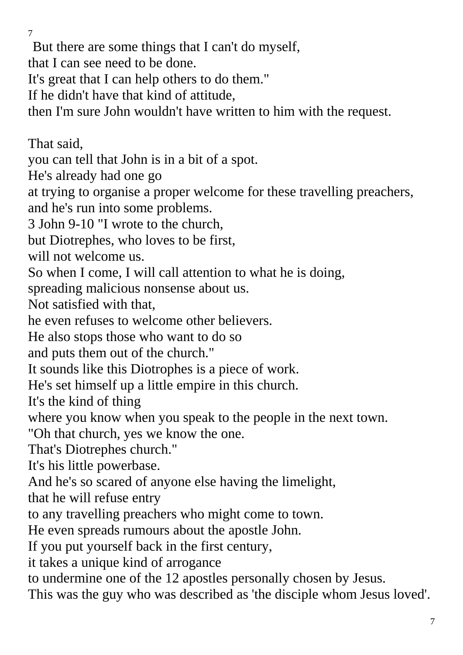7 But there are some things that I can't do myself, that I can see need to be done. It's great that I can help others to do them." If he didn't have that kind of attitude, then I'm sure John wouldn't have written to him with the request. That said, you can tell that John is in a bit of a spot. He's already had one go at trying to organise a proper welcome for these travelling preachers, and he's run into some problems. 3 John 9-10 "I wrote to the church, but Diotrephes, who loves to be first, will not welcome us. So when I come, I will call attention to what he is doing, spreading malicious nonsense about us. Not satisfied with that, he even refuses to welcome other believers. He also stops those who want to do so and puts them out of the church." It sounds like this Diotrophes is a piece of work. He's set himself up a little empire in this church.

It's the kind of thing

where you know when you speak to the people in the next town.

"Oh that church, yes we know the one.

That's Diotrephes church."

It's his little powerbase.

And he's so scared of anyone else having the limelight,

that he will refuse entry

to any travelling preachers who might come to town.

He even spreads rumours about the apostle John.

If you put yourself back in the first century,

it takes a unique kind of arrogance

to undermine one of the 12 apostles personally chosen by Jesus.

This was the guy who was described as 'the disciple whom Jesus loved'.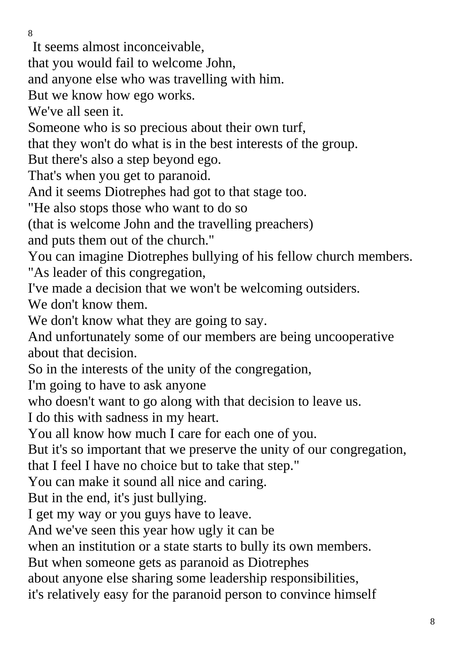It seems almost inconceivable,

that you would fail to welcome John,

and anyone else who was travelling with him.

But we know how ego works.

We've all seen it.

Someone who is so precious about their own turf,

that they won't do what is in the best interests of the group.

But there's also a step beyond ego.

That's when you get to paranoid.

And it seems Diotrephes had got to that stage too.

"He also stops those who want to do so

(that is welcome John and the travelling preachers)

and puts them out of the church."

You can imagine Diotrephes bullying of his fellow church members. "As leader of this congregation,

I've made a decision that we won't be welcoming outsiders.

We don't know them.

We don't know what they are going to say.

And unfortunately some of our members are being uncooperative about that decision.

So in the interests of the unity of the congregation,

I'm going to have to ask anyone

who doesn't want to go along with that decision to leave us.

I do this with sadness in my heart.

You all know how much I care for each one of you.

But it's so important that we preserve the unity of our congregation,

that I feel I have no choice but to take that step."

You can make it sound all nice and caring.

But in the end, it's just bullying.

I get my way or you guys have to leave.

And we've seen this year how ugly it can be

when an institution or a state starts to bully its own members.

But when someone gets as paranoid as Diotrephes

about anyone else sharing some leadership responsibilities,

it's relatively easy for the paranoid person to convince himself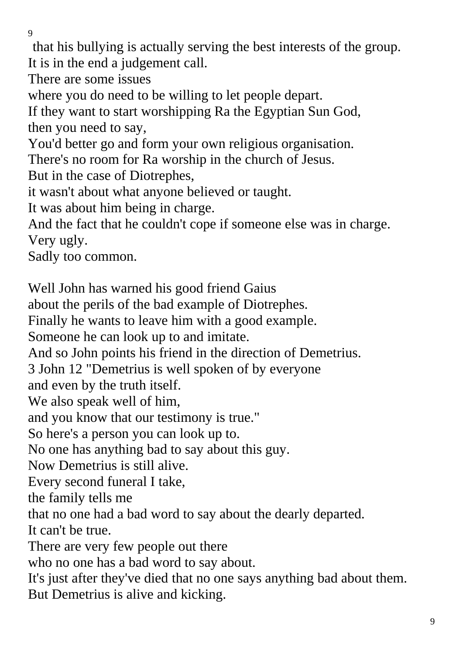that his bullying is actually serving the best interests of the group. It is in the end a judgement call.

There are some issues

where you do need to be willing to let people depart.

If they want to start worshipping Ra the Egyptian Sun God, then you need to say,

You'd better go and form your own religious organisation.

There's no room for Ra worship in the church of Jesus.

But in the case of Diotrephes,

it wasn't about what anyone believed or taught.

It was about him being in charge.

And the fact that he couldn't cope if someone else was in charge. Very ugly.

Sadly too common.

Well John has warned his good friend Gaius

about the perils of the bad example of Diotrephes.

Finally he wants to leave him with a good example.

Someone he can look up to and imitate.

And so John points his friend in the direction of Demetrius.

3 John 12 "Demetrius is well spoken of by everyone

and even by the truth itself.

We also speak well of him,

and you know that our testimony is true."

So here's a person you can look up to.

No one has anything bad to say about this guy.

Now Demetrius is still alive.

Every second funeral I take,

the family tells me

that no one had a bad word to say about the dearly departed.

It can't be true.

There are very few people out there

who no one has a bad word to say about.

It's just after they've died that no one says anything bad about them. But Demetrius is alive and kicking.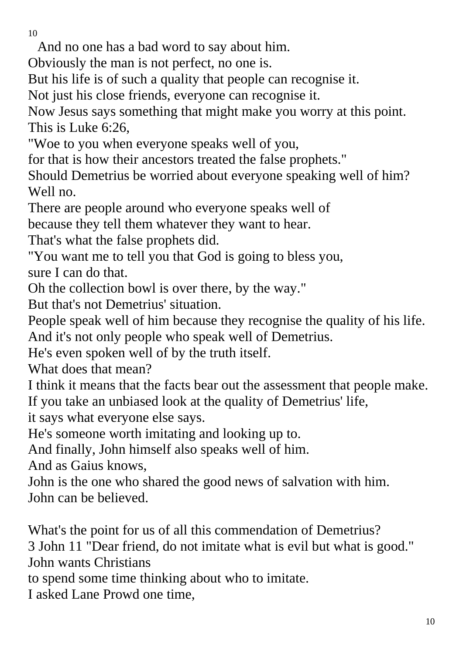And no one has a bad word to say about him.

Obviously the man is not perfect, no one is.

But his life is of such a quality that people can recognise it.

Not just his close friends, everyone can recognise it.

Now Jesus says something that might make you worry at this point. This is Luke 6:26,

"Woe to you when everyone speaks well of you,

for that is how their ancestors treated the false prophets."

Should Demetrius be worried about everyone speaking well of him? Well no.

There are people around who everyone speaks well of

because they tell them whatever they want to hear.

That's what the false prophets did.

"You want me to tell you that God is going to bless you,

sure I can do that.

Oh the collection bowl is over there, by the way."

But that's not Demetrius' situation.

People speak well of him because they recognise the quality of his life. And it's not only people who speak well of Demetrius.

He's even spoken well of by the truth itself.

What does that mean?

I think it means that the facts bear out the assessment that people make. If you take an unbiased look at the quality of Demetrius' life,

it says what everyone else says.

He's someone worth imitating and looking up to.

And finally, John himself also speaks well of him.

And as Gaius knows,

John is the one who shared the good news of salvation with him. John can be believed.

What's the point for us of all this commendation of Demetrius? 3 John 11 "Dear friend, do not imitate what is evil but what is good." John wants Christians to spend some time thinking about who to imitate.

I asked Lane Prowd one time,